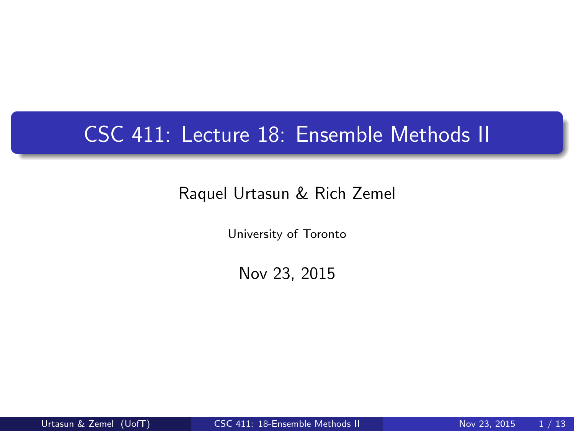# CSC 411: Lecture 18: Ensemble Methods II

#### Raquel Urtasun & Rich Zemel

University of Toronto

<span id="page-0-0"></span>Nov 23, 2015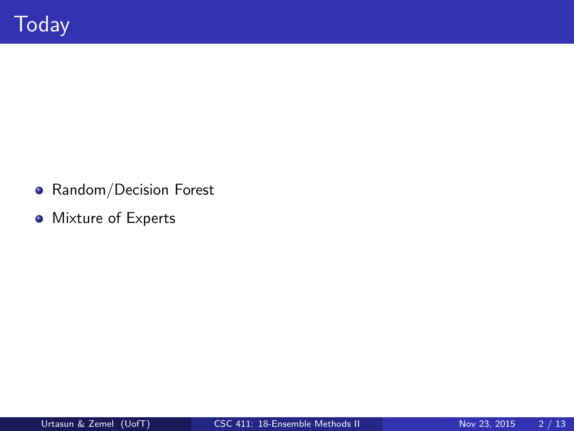- **•** Random/Decision Forest
- **•** Mixture of Experts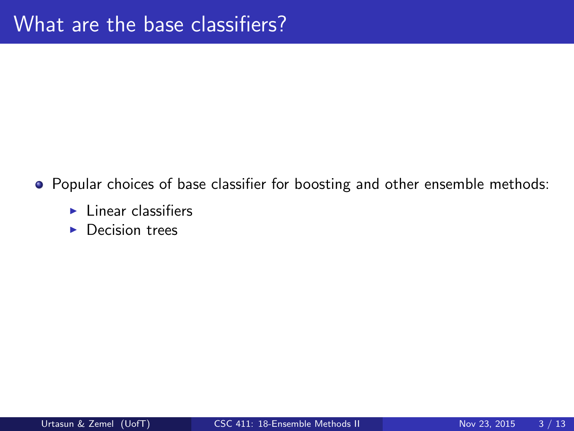- Popular choices of base classifier for boosting and other ensemble methods:
	- $\blacktriangleright$  Linear classifiers
	- $\blacktriangleright$  Decision trees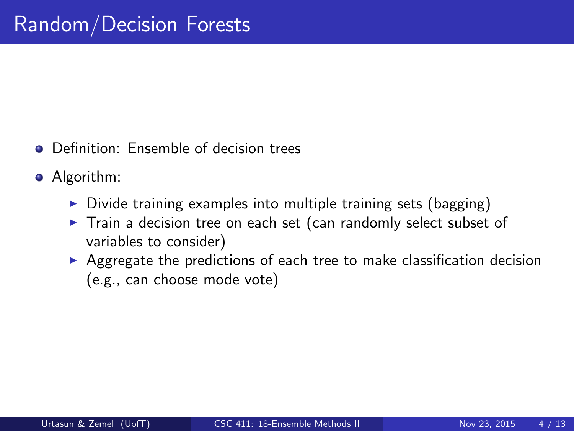- **O** Definition: Ensemble of decision trees
- Algorithm:
	- $\triangleright$  Divide training examples into multiple training sets (bagging)
	- $\triangleright$  Train a decision tree on each set (can randomly select subset of variables to consider)
	- $\blacktriangleright$  Aggregate the predictions of each tree to make classification decision (e.g., can choose mode vote)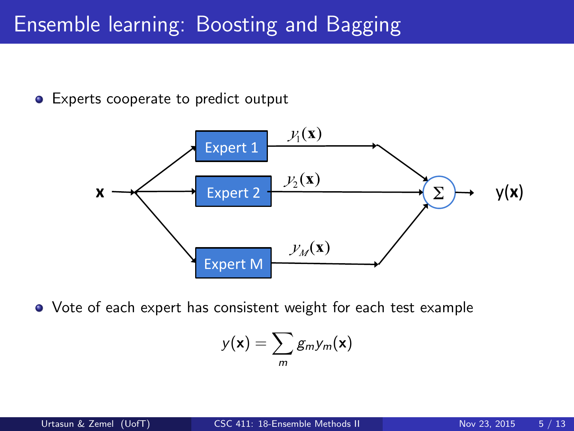### Ensemble learning: Boosting and Bagging

**•** Experts cooperate to predict output



Vote of each expert has consistent weight for each test example

$$
y(\mathbf{x}) = \sum_{m} g_{m} y_{m}(\mathbf{x})
$$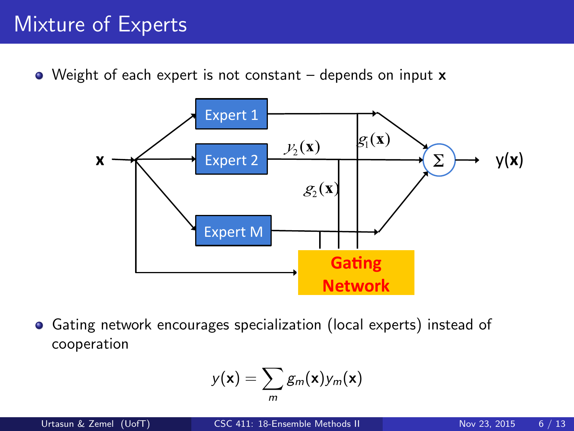# Mixture of Experts

• Weight of each expert is not constant – depends on input **x** 



Gating network encourages specialization (local experts) instead of  $\bullet$ cooperation

$$
y(\mathbf{x}) = \sum_{m} g_m(\mathbf{x}) y_m(\mathbf{x})
$$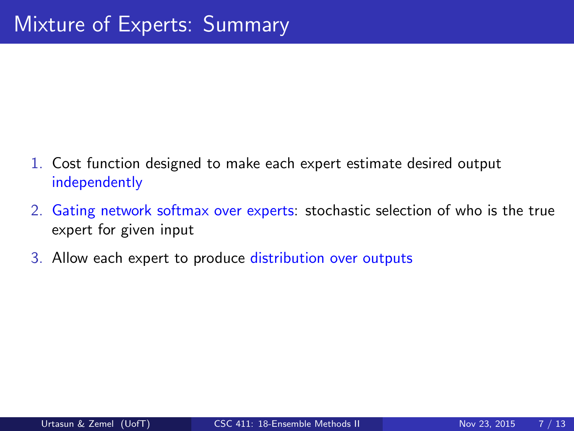- 1. Cost function designed to make each expert estimate desired output independently
- 2. Gating network softmax over experts: stochastic selection of who is the true expert for given input
- 3. Allow each expert to produce distribution over outputs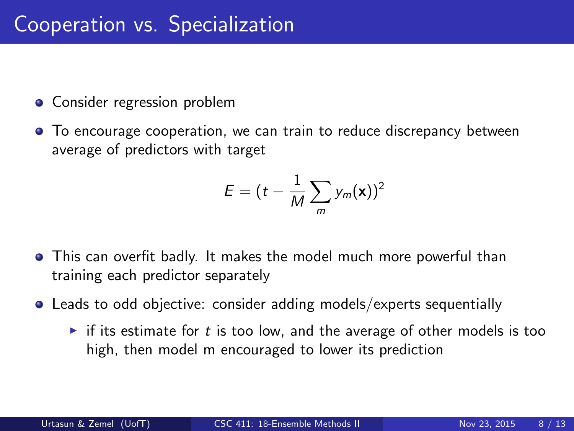- Consider regression problem
- To encourage cooperation, we can train to reduce discrepancy between average of predictors with target

$$
E = (t - \frac{1}{M} \sum_{m} y_m(\mathbf{x}))^2
$$

- This can overfit badly. It makes the model much more powerful than training each predictor separately
- Leads to odd objective: consider adding models/experts sequentially
	- If its estimate for t is too low, and the average of other models is too high, then model m encouraged to lower its prediction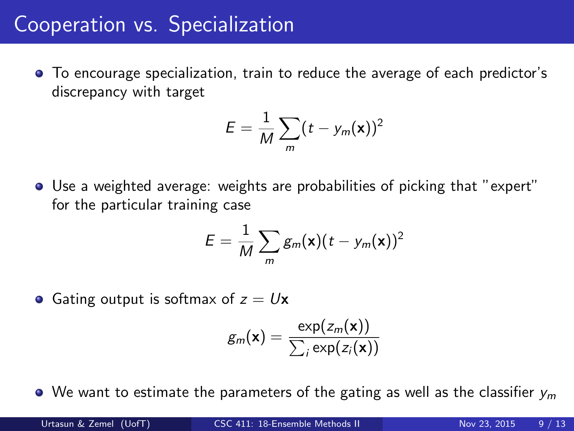# Cooperation vs. Specialization

To encourage specialization, train to reduce the average of each predictor's discrepancy with target

$$
E=\frac{1}{M}\sum_{m}(t-y_m(\mathbf{x}))^2
$$

Use a weighted average: weights are probabilities of picking that "expert" for the particular training case

$$
E = \frac{1}{M} \sum_{m} g_m(\mathbf{x})(t - y_m(\mathbf{x}))^2
$$

• Gating output is softmax of  $z = Ux$ 

$$
g_m(\mathbf{x}) = \frac{\exp(z_m(\mathbf{x}))}{\sum_i \exp(z_i(\mathbf{x}))}
$$

 $\bullet$  We want to estimate the parameters of the gating as well as the classifier  $v_m$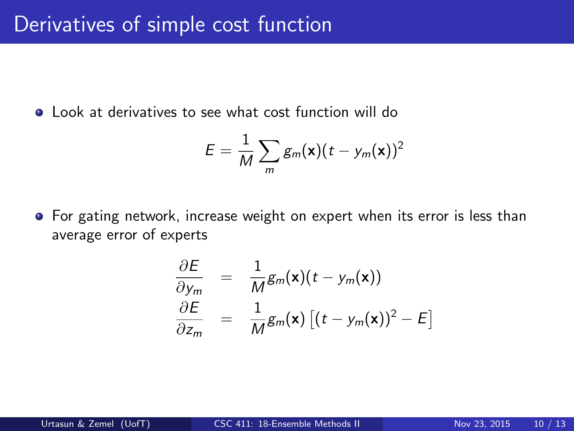Look at derivatives to see what cost function will do

$$
E = \frac{1}{M} \sum_{m} g_m(\mathbf{x}) (t - y_m(\mathbf{x}))^2
$$

For gating network, increase weight on expert when its error is less than average error of experts

$$
\frac{\partial E}{\partial y_m} = \frac{1}{M} g_m(\mathbf{x}) (t - y_m(\mathbf{x}))
$$
  

$$
\frac{\partial E}{\partial z_m} = \frac{1}{M} g_m(\mathbf{x}) [(t - y_m(\mathbf{x}))^2 - E]
$$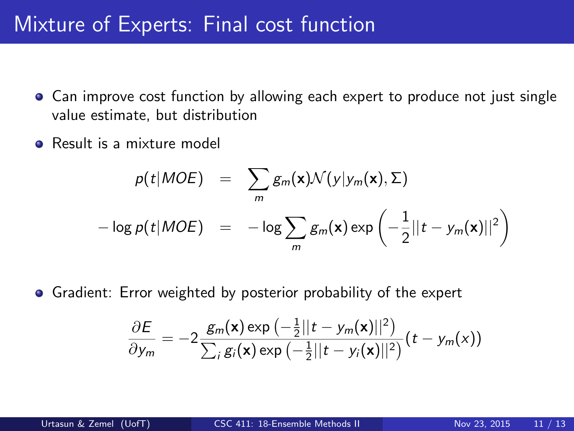#### Mixture of Experts: Final cost function

- Can improve cost function by allowing each expert to produce not just single value estimate, but distribution
- **e** Result is a mixture model

$$
p(t|MOE) = \sum_{m} g_m(\mathbf{x}) \mathcal{N}(y|y_m(\mathbf{x}), \Sigma)
$$

$$
-\log p(t|MOE) = -\log \sum_{m} g_m(\mathbf{x}) \exp \left(-\frac{1}{2}||t - y_m(\mathbf{x})||^2\right)
$$

Gradient: Error weighted by posterior probability of the expert

$$
\frac{\partial E}{\partial y_m} = -2 \frac{g_m(\mathbf{x}) \exp \left(-\frac{1}{2}||t - y_m(\mathbf{x})||^2\right)}{\sum_i g_i(\mathbf{x}) \exp \left(-\frac{1}{2}||t - y_i(\mathbf{x})||^2\right)} (t - y_m(\mathbf{x}))
$$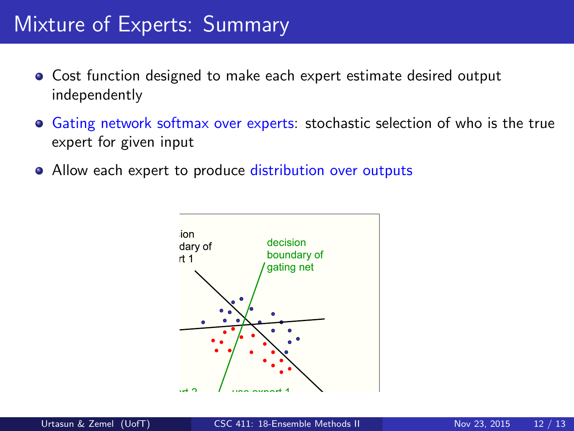### Mixture of Experts: Summary

- Cost function designed to make each expert estimate desired output independently
- **Gating network softmax over experts: stochastic selection of who is the true** expert for given input
- Allow each expert to produce distribution over outputs